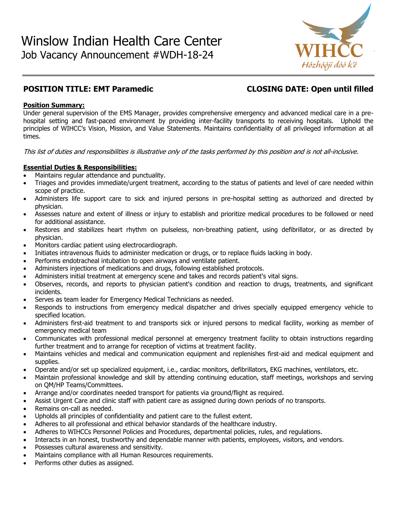

# **POSITION TITLE: EMT Paramedic CLOSING DATE: Open until filled**

# **Position Summary:**

Under general supervision of the EMS Manager, provides comprehensive emergency and advanced medical care in a prehospital setting and fast-paced environment by providing inter-facility transports to receiving hospitals. Uphold the principles of WIHCC's Vision, Mission, and Value Statements. Maintains confidentiality of all privileged information at all times.

This list of duties and responsibilities is illustrative only of the tasks performed by this position and is not all-inclusive.

# **Essential Duties & Responsibilities:**

- Maintains regular attendance and punctuality.
- Triages and provides immediate/urgent treatment, according to the status of patients and level of care needed within scope of practice.
- Administers life support care to sick and injured persons in pre-hospital setting as authorized and directed by physician.
- Assesses nature and extent of illness or injury to establish and prioritize medical procedures to be followed or need for additional assistance.
- Restores and stabilizes heart rhythm on pulseless, non-breathing patient, using defibrillator, or as directed by physician.
- Monitors cardiac patient using electrocardiograph.
- Initiates intravenous fluids to administer medication or drugs, or to replace fluids lacking in body.
- Performs endotracheal intubation to open airways and ventilate patient.
- Administers injections of medications and drugs, following established protocols.
- Administers initial treatment at emergency scene and takes and records patient's vital signs.
- Observes, records, and reports to physician patient's condition and reaction to drugs, treatments, and significant incidents.
- Serves as team leader for Emergency Medical Technicians as needed.
- Responds to instructions from emergency medical dispatcher and drives specially equipped emergency vehicle to specified location.
- Administers first-aid treatment to and transports sick or injured persons to medical facility, working as member of emergency medical team
- Communicates with professional medical personnel at emergency treatment facility to obtain instructions regarding further treatment and to arrange for reception of victims at treatment facility.
- Maintains vehicles and medical and communication equipment and replenishes first-aid and medical equipment and supplies.
- Operate and/or set up specialized equipment, i.e., cardiac monitors, defibrillators, EKG machines, ventilators, etc.
- Maintain professional knowledge and skill by attending continuing education, staff meetings, workshops and serving on QM/HP Teams/Committees.
- Arrange and/or coordinates needed transport for patients via ground/flight as required.
- Assist Urgent Care and clinic staff with patient care as assigned during down periods of no transports.
- Remains on-call as needed.
- Upholds all principles of confidentiality and patient care to the fullest extent.
- Adheres to all professional and ethical behavior standards of the healthcare industry.
- Adheres to WIHCCs Personnel Policies and Procedures, departmental policies, rules, and regulations.
- Interacts in an honest, trustworthy and dependable manner with patients, employees, visitors, and vendors.
- Possesses cultural awareness and sensitivity.
- Maintains compliance with all Human Resources requirements.
- Performs other duties as assigned.